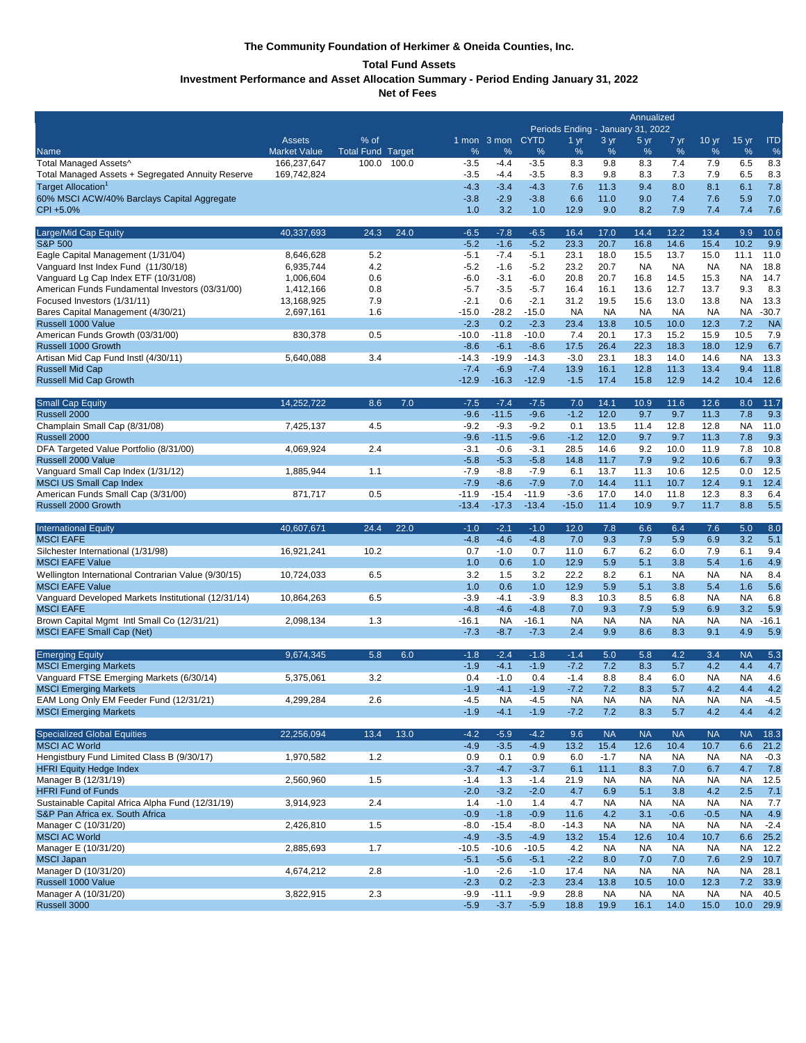## **The Community Foundation of Herkimer & Oneida Counties, Inc.**

## **Total Fund Assets**

**Investment Performance and Asset Allocation Summary - Period Ending January 31, 2022**

**Net of Fees** 

|                                                                                         | Annualized<br>Periods Ending - January 31, 2022 |                          |       |                   |                     |                   |                     |                   |                   |                   |                   |                  |                |
|-----------------------------------------------------------------------------------------|-------------------------------------------------|--------------------------|-------|-------------------|---------------------|-------------------|---------------------|-------------------|-------------------|-------------------|-------------------|------------------|----------------|
|                                                                                         | <b>Assets</b>                                   | % of                     |       |                   | 1 mon 3 mon CYTD    |                   | 1 <sub>yr</sub>     | 3 yr              | 5 yr              | 7 yr              | 10 <sub>yr</sub>  | 15 <sub>yr</sub> | <b>ITD</b>     |
| <b>Name</b>                                                                             | <b>Market Value</b>                             | <b>Total Fund Target</b> |       | %                 | %                   | %                 | %                   | %                 | %                 | %                 | %                 | %                | $\%$           |
| Total Managed Assets^                                                                   | 166,237,647                                     | 100.0                    | 100.0 | $-3.5$<br>$-3.5$  | $-4.4$              | $-3.5$<br>$-3.5$  | 8.3<br>8.3          | 9.8<br>9.8        | 8.3<br>8.3        | 7.4<br>7.3        | 7.9<br>7.9        | 6.5<br>6.5       | 8.3<br>8.3     |
| Total Managed Assets + Segregated Annuity Reserve<br>Target Allocation <sup>1</sup>     | 169,742,824                                     |                          |       | $-4.3$            | $-4.4$<br>$-3.4$    | $-4.3$            | 7.6                 | 11.3              | 9.4               | 8.0               | 8.1               | 6.1              | 7.8            |
| 60% MSCI ACW/40% Barclays Capital Aggregate                                             |                                                 |                          |       | $-3.8$            | $-2.9$              | $-3.8$            | 6.6                 | 11.0              | 9.0               | 7.4               | 7.6               | 5.9              | 7.0            |
| CPI +5.0%                                                                               |                                                 |                          |       | 1.0               | 3.2                 | 1.0               | 12.9                | 9.0               | 8.2               | 7.9               | 7.4               | 7.4              | 7.6            |
| Large/Mid Cap Equity                                                                    | 40,337,693                                      | 24.3                     | 24.0  | $-6.5$            | $-7.8$              | $-6.5$            | 16.4                | 17.0              | 14.4              | 12.2              | 13.4              | 9.9              | 10.6           |
| <b>S&amp;P 500</b>                                                                      |                                                 |                          |       | $-5.2$            | $-1.6$              | $-5.2$            | 23.3                | 20.7              | 16.8              | 14.6              | 15.4              | 10.2             | 9.9            |
| Eagle Capital Management (1/31/04)                                                      | 8,646,628                                       | 5.2                      |       | $-5.1$            | $-7.4$              | $-5.1$            | 23.1                | 18.0              | 15.5              | 13.7              | 15.0              | 11.1             | 11.0           |
| Vanguard Inst Index Fund (11/30/18)                                                     | 6,935,744                                       | 4.2                      |       | $-5.2$            | $-1.6$              | $-5.2$            | 23.2                | 20.7              | <b>NA</b>         | <b>NA</b>         | <b>NA</b>         | <b>NA</b>        | 18.8           |
| Vanguard Lg Cap Index ETF (10/31/08)<br>American Funds Fundamental Investors (03/31/00) | 1,006,604<br>1,412,166                          | 0.6<br>0.8               |       | $-6.0$<br>$-5.7$  | $-3.1$<br>$-3.5$    | $-6.0$<br>$-5.7$  | 20.8<br>16.4        | 20.7<br>16.1      | 16.8<br>13.6      | 14.5<br>12.7      | 15.3<br>13.7      | <b>NA</b><br>9.3 | 14.7<br>8.3    |
| Focused Investors (1/31/11)                                                             | 13,168,925                                      | 7.9                      |       | $-2.1$            | 0.6                 | $-2.1$            | 31.2                | 19.5              | 15.6              | 13.0              | 13.8              | <b>NA</b>        | 13.3           |
| Bares Capital Management (4/30/21)                                                      | 2,697,161                                       | 1.6                      |       | -15.0             | $-28.2$             | $-15.0$           | <b>NA</b>           | <b>NA</b>         | NA                | <b>NA</b>         | <b>NA</b>         | NA               | $-30.7$        |
| Russell 1000 Value                                                                      |                                                 |                          |       | $-2.3$            | 0.2                 | $-2.3$            | 23.4                | 13.8              | 10.5              | 10.0              | 12.3              | 7.2              | <b>NA</b>      |
| American Funds Growth (03/31/00)                                                        | 830,378                                         | 0.5                      |       | $-10.0$           | $-11.8$             | $-10.0$           | 7.4                 | 20.1              | 17.3              | 15.2              | 15.9              | 10.5             | 7.9            |
| Russell 1000 Growth                                                                     |                                                 |                          |       | $-8.6$            | $-6.1$              | $-8.6$            | 17.5                | 26.4              | 22.3              | 18.3              | 18.0              | 12.9             | 6.7            |
| Artisan Mid Cap Fund Instl (4/30/11)                                                    | 5,640,088                                       | 3.4                      |       | $-14.3$<br>$-7.4$ | $-19.9$<br>$-6.9$   | $-14.3$<br>$-7.4$ | $-3.0$<br>13.9      | 23.1<br>16.1      | 18.3<br>12.8      | 14.0<br>11.3      | 14.6<br>13.4      | <b>NA</b><br>9.4 | 13.3<br>11.8   |
| <b>Russell Mid Cap</b><br><b>Russell Mid Cap Growth</b>                                 |                                                 |                          |       | $-12.9$           | $-16.3$             | $-12.9$           | $-1.5$              | 17.4              | 15.8              | 12.9              | 14.2              | 10.4             | 12.6           |
| <b>Small Cap Equity</b>                                                                 | 14,252,722                                      | 8.6                      | 7.0   | $-7.5$            | $-7.4$              | $-7.5$            | 7.0                 | 14.1              | 10.9              | 11.6              | 12.6              | 8.0              | 11.7           |
| Russell 2000                                                                            |                                                 |                          |       | $-9.6$            | $-11.5$             | $-9.6$            | $-1.2$              | 12.0              | 9.7               | 9.7               | 11.3              | 7.8              | 9.3            |
| Champlain Small Cap (8/31/08)                                                           | 7,425,137                                       | 4.5                      |       | $-9.2$            | $-9.3$              | $-9.2$            | 0.1                 | 13.5              | 11.4              | 12.8              | 12.8              | <b>NA</b>        | 11.0           |
| Russell 2000                                                                            |                                                 |                          |       | $-9.6$            | $-11.5$             | $-9.6$            | $-1.2$              | 12.0              | 9.7               | 9.7               | 11.3              | 7.8              | 9.3            |
| DFA Targeted Value Portfolio (8/31/00)                                                  | 4,069,924                                       | 2.4                      |       | $-3.1$            | $-0.6$              | $-3.1$            | 28.5                | 14.6              | 9.2               | 10.0              | 11.9              | 7.8              | 10.8           |
| Russell 2000 Value                                                                      |                                                 |                          |       | $-5.8$            | $-5.3$              | $-5.8$            | 14.8                | 11.7              | 7.9               | 9.2               | 10.6              | 6.7              | 9.3            |
| Vanguard Small Cap Index (1/31/12)<br><b>MSCI US Small Cap Index</b>                    | 1,885,944                                       | 1.1                      |       | $-7.9$<br>$-7.9$  | $-8.8$<br>$-8.6$    | $-7.9$<br>$-7.9$  | 6.1<br>7.0          | 13.7<br>14.4      | 11.3<br>11.1      | 10.6<br>10.7      | 12.5<br>12.4      | 0.0<br>9.1       | 12.5<br>12.4   |
| American Funds Small Cap (3/31/00)                                                      | 871,717                                         | 0.5                      |       | $-11.9$           | $-15.4$             | $-11.9$           | $-3.6$              | 17.0              | 14.0              | 11.8              | 12.3              | 8.3              | 6.4            |
| Russell 2000 Growth                                                                     |                                                 |                          |       | $-13.4$           | $-17.3$             | $-13.4$           | $-15.0$             | 11.4              | 10.9              | 9.7               | 11.7              | 8.8              | 5.5            |
|                                                                                         |                                                 |                          |       |                   |                     |                   |                     |                   |                   |                   |                   |                  |                |
| <b>International Equity</b>                                                             | 40,607,671                                      | 24.4                     | 22.0  | $-1.0$            | $-2.1$              | $-1.0$            | 12.0                | 7.8               | 6.6               | 6.4               | 7.6               | 5.0              | 8.0            |
| <b>MSCI EAFE</b>                                                                        |                                                 |                          |       | $-4.8$            | $-4.6$              | $-4.8$            | 7.0                 | 9.3               | 7.9               | 5.9               | 6.9               | 3.2              | 5.1            |
| Silchester International (1/31/98)                                                      | 16,921,241                                      | 10.2                     |       | 0.7               | $-1.0$              | 0.7               | 11.0                | 6.7               | 6.2               | 6.0               | 7.9               | 6.1              | 9.4            |
| <b>MSCI EAFE Value</b>                                                                  |                                                 |                          |       | 1.0               | 0.6                 | 1.0               | 12.9                | 5.9               | 5.1               | 3.8               | 5.4               | 1.6              | 4.9            |
| Wellington International Contrarian Value (9/30/15)                                     | 10,724,033                                      | 6.5                      |       | 3.2               | 1.5                 | 3.2               | 22.2                | 8.2               | 6.1               | <b>NA</b>         | <b>NA</b>         | <b>NA</b>        | 8.4            |
| <b>MSCI EAFE Value</b>                                                                  |                                                 |                          |       | 1.0               | 0.6                 | 1.0               | 12.9                | 5.9               | 5.1               | 3.8               | 5.4               | 1.6              | 5.6            |
| Vanguard Developed Markets Institutional (12/31/14)<br><b>MSCI EAFE</b>                 | 10,864,263                                      | 6.5                      |       | $-3.9$<br>$-4.8$  | $-4.1$<br>$-4.6$    | $-3.9$<br>$-4.8$  | 8.3<br>7.0          | 10.3<br>9.3       | 8.5<br>7.9        | 6.8<br>5.9        | NA<br>6.9         | <b>NA</b><br>3.2 | 6.8<br>5.9     |
| Brown Capital Mgmt Intl Small Co (12/31/21)                                             | 2,098,134                                       | 1.3                      |       | $-16.1$           | <b>NA</b>           | $-16.1$           | <b>NA</b>           | <b>NA</b>         | <b>NA</b>         | NA                | NA                | NA               | $-16.1$        |
| <b>MSCI EAFE Small Cap (Net)</b>                                                        |                                                 |                          |       | $-7.3$            | $-8.7$              | $-7.3$            | 2.4                 | 9.9               | 8.6               | 8.3               | 9.1               | 4.9              | 5.9            |
| <b>Emerging Equity</b>                                                                  | 9,674,345                                       | 5.8                      | 6.0   | $-1.8$            | $-2.4$              | $-1.8$            | $-1.4$              | 5.0               | 5.8               | 4.2               | 3.4               | <b>NA</b>        | 5.3            |
| <b>MSCI Emerging Markets</b>                                                            |                                                 |                          |       | $-1.9$            | $-4.1$              | $-1.9$            | $-7.2$              | 7.2               | 8.3               | 5.7               | 4.2               | 4.4              | 4.7            |
| Vanguard FTSE Emerging Markets (6/30/14)                                                | 5,375,061                                       | 3.2                      |       | 0.4               | $-1.0$              | 0.4               | $-1.4$              | 8.8               | 8.4               | 6.0               | NA                | <b>NA</b>        | 4.6            |
| <b>MSCI Emerging Markets</b>                                                            |                                                 |                          |       | $-1.9$            | $-4.1$              | $-1.9$            | $-7.2$              | 7.2               | 8.3               | 5.7               | 4.2               | 4.4              | 4.2            |
| EAM Long Only EM Feeder Fund (12/31/21)<br><b>MSCI Emerging Markets</b>                 | 4,299,284                                       | 2.6                      |       | $-4.5$<br>$-1.9$  | <b>NA</b><br>$-4.1$ | $-4.5$<br>$-1.9$  | <b>NA</b><br>$-7.2$ | <b>NA</b><br>7.2  | <b>NA</b><br>8.3  | <b>NA</b><br>5.7  | <b>NA</b><br>4.2  | <b>NA</b><br>4.4 | $-4.5$<br>4.2  |
|                                                                                         |                                                 |                          |       |                   |                     |                   |                     |                   |                   |                   |                   |                  |                |
| <b>Specialized Global Equities</b>                                                      | 22,256,094                                      | 13.4                     | 13.0  | $-4.2$            | $-5.9$              | $-4.2$            | 9.6                 | <b>NA</b>         | <b>NA</b>         | <b>NA</b>         | <b>NA</b>         | <b>NA</b>        | 18.3           |
| <b>MSCI AC World</b><br>Hengistbury Fund Limited Class B (9/30/17)                      | 1,970,582                                       | 1.2                      |       | $-4.9$<br>0.9     | $-3.5$<br>0.1       | $-4.9$<br>0.9     | 13.2<br>6.0         | 15.4<br>$-1.7$    | 12.6<br><b>NA</b> | 10.4<br><b>NA</b> | 10.7<br><b>NA</b> | 6.6<br><b>NA</b> | 21.2<br>$-0.3$ |
| <b>HFRI Equity Hedge Index</b>                                                          |                                                 |                          |       | $-3.7$            | $-4.7$              | $-3.7$            | 6.1                 | 11.1              | 8.3               | 7.0               | 6.7               | 4.7              | 7.8            |
| Manager B (12/31/19)                                                                    | 2,560,960                                       | 1.5                      |       | $-1.4$            | 1.3                 | $-1.4$            | 21.9                | <b>NA</b>         | <b>NA</b>         | <b>NA</b>         | <b>NA</b>         | <b>NA</b>        | 12.5           |
| <b>HFRI Fund of Funds</b>                                                               |                                                 |                          |       | $-2.0$            | $-3.2$              | $-2.0$            | 4.7                 | 6.9               | 5.1               | 3.8               | 4.2               | 2.5              | 7.1            |
| Sustainable Capital Africa Alpha Fund (12/31/19)                                        | 3,914,923                                       | 2.4                      |       | 1.4               | $-1.0$              | 1.4               | 4.7                 | <b>NA</b>         | <b>NA</b>         | <b>NA</b>         | <b>NA</b>         | <b>NA</b>        | 7.7            |
| S&P Pan Africa ex. South Africa                                                         |                                                 |                          |       | $-0.9$            | $-1.8$              | $-0.9$            | 11.6                | 4.2               | 3.1               | $-0.6$            | $-0.5$            | <b>NA</b>        | 4.9            |
| Manager C (10/31/20)<br><b>MSCI AC World</b>                                            | 2,426,810                                       | 1.5                      |       | $-8.0$<br>$-4.9$  | $-15.4$<br>$-3.5$   | $-8.0$<br>$-4.9$  | $-14.3$<br>13.2     | <b>NA</b><br>15.4 | <b>NA</b><br>12.6 | <b>NA</b><br>10.4 | <b>NA</b><br>10.7 | <b>NA</b><br>6.6 | $-2.4$<br>25.2 |
| Manager E (10/31/20)                                                                    | 2,885,693                                       | 1.7                      |       | $-10.5$           | $-10.6$             | $-10.5$           | 4.2                 | <b>NA</b>         | <b>NA</b>         | <b>NA</b>         | <b>NA</b>         | <b>NA</b>        | 12.2           |
| <b>MSCI Japan</b>                                                                       |                                                 |                          |       | $-5.1$            | $-5.6$              | $-5.1$            | $-2.2$              | 8.0               | 7.0               | 7.0               | 7.6               | 2.9              | 10.7           |
| Manager D (10/31/20)                                                                    | 4,674,212                                       | 2.8                      |       | $-1.0$            | $-2.6$              | $-1.0$            | 17.4                | <b>NA</b>         | <b>NA</b>         | <b>NA</b>         | <b>NA</b>         | <b>NA</b>        | 28.1           |
| Russell 1000 Value<br>Manager A (10/31/20)                                              | 3,822,915                                       | 2.3                      |       | $-2.3$<br>$-9.9$  | 0.2<br>$-11.1$      | $-2.3$<br>$-9.9$  | 23.4<br>28.8        | 13.8<br><b>NA</b> | 10.5<br><b>NA</b> | 10.0<br><b>NA</b> | 12.3<br><b>NA</b> | 7.2<br><b>NA</b> | 33.9<br>40.5   |